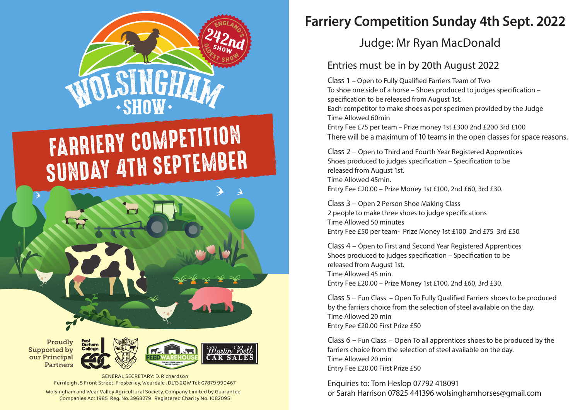

# FARRIERY COMPETITION SUNDAY ATH SEPTEMBER

Proudly Supported by our Principal Partners East<br>Durham



Martin Bel **CAR SAI** 

Wolsingham and Wear Valley Agricultural Society. Company Limited by Guarantee Companies Act 1985 Reg. No. 3968279 Registered Charity No. 1082095 GENERAL SECRETARY: D. Richardson Fernleigh , 5 Front Street, Frosterley, Weardale , DL13 2QW Tel: 07879 990467

## **Farriery Competition Sunday 4th Sept. 2022**

#### Judge: Mr Ryan MacDonald

#### Entries must be in by 20th August 2022

Class 1 – Open to Fully Qualified Farriers Team of Two To shoe one side of a horse – Shoes produced to judges specification – specification to be released from August 1st. Each competitor to make shoes as per specimen provided by the Judge Time Allowed 60min Entry Fee £75 per team – Prize money 1st £300 2nd £200 3rd £100 There will be a maximum of 10 teams in the open classes for space reasons.

Class 2 – Open to Third and Fourth Year Registered Apprentices Shoes produced to judges specification – Specification to be released from August 1st. Time Allowed 45min. Entry Fee £20.00 – Prize Money 1st £100, 2nd £60, 3rd £30.

Class 3 – Open 2 Person Shoe Making Class 2 people to make three shoes to judge specifications Time Allowed 50 minutes Entry Fee £50 per team- Prize Money 1st £100 2nd £75 3rd £50

Class 4 – Open to First and Second Year Registered Apprentices Shoes produced to judges specification - Specification to be released from August 1st. Time Allowed 45 min. Entry Fee £20.00 – Prize Money 1st £100, 2nd £60, 3rd £30.

Class  $5$  – Fun Class – Open To Fully Qualified Farriers shoes to be produced by the farriers choice from the selection of steel available on the day. Time Allowed 20 min Entry Fee £20.00 First Prize £50

Class 6 – Fun Class – Open To all apprentices shoes to be produced by the farriers choice from the selection of steel available on the day. Time Allowed 20 min Entry Fee £20.00 First Prize £50

Enquiries to: Tom Heslop 07792 418091 or Sarah Harrison 07825 441396 wolsinghamhorses@gmail.com